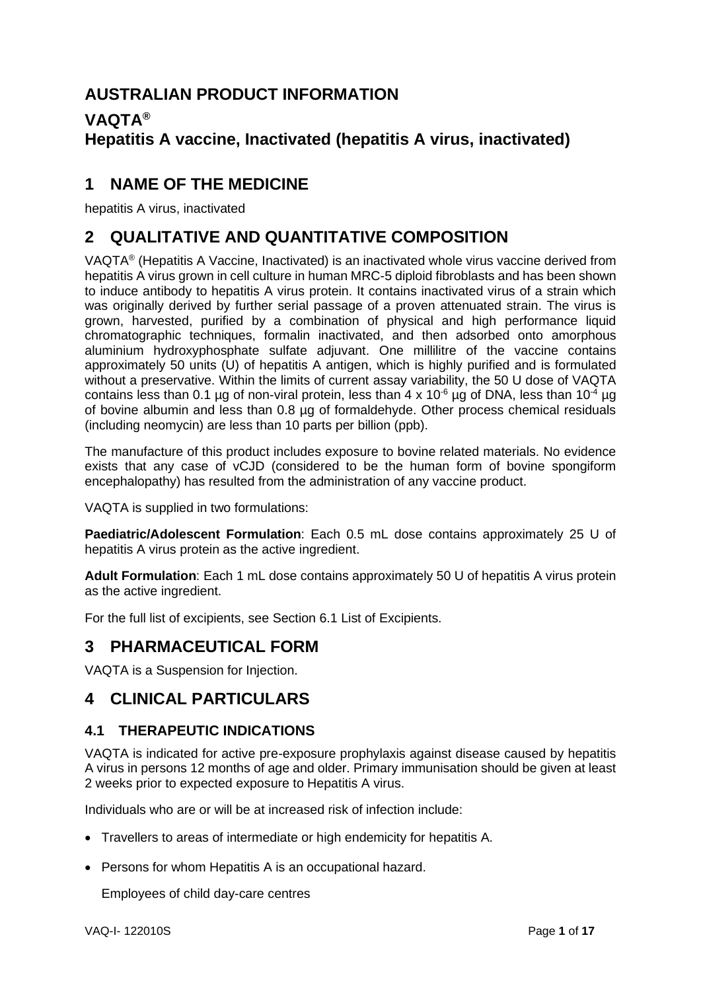# **AUSTRALIAN PRODUCT INFORMATION**

# **VAQTA® Hepatitis A vaccine, Inactivated (hepatitis A virus, inactivated)**

# **1 NAME OF THE MEDICINE**

hepatitis A virus, inactivated

# **2 QUALITATIVE AND QUANTITATIVE COMPOSITION**

VAQTA® (Hepatitis A Vaccine, Inactivated) is an inactivated whole virus vaccine derived from hepatitis A virus grown in cell culture in human MRC-5 diploid fibroblasts and has been shown to induce antibody to hepatitis A virus protein. It contains inactivated virus of a strain which was originally derived by further serial passage of a proven attenuated strain. The virus is grown, harvested, purified by a combination of physical and high performance liquid chromatographic techniques, formalin inactivated, and then adsorbed onto amorphous aluminium hydroxyphosphate sulfate adjuvant. One millilitre of the vaccine contains approximately 50 units (U) of hepatitis A antigen, which is highly purified and is formulated without a preservative. Within the limits of current assay variability, the 50 U dose of VAQTA contains less than 0.1 µg of non-viral protein, less than 4 x 10<sup>-6</sup> µg of DNA, less than 10<sup>-4</sup> µg of bovine albumin and less than 0.8 µg of formaldehyde. Other process chemical residuals (including neomycin) are less than 10 parts per billion (ppb).

The manufacture of this product includes exposure to bovine related materials. No evidence exists that any case of vCJD (considered to be the human form of bovine spongiform encephalopathy) has resulted from the administration of any vaccine product.

VAQTA is supplied in two formulations:

**Paediatric/Adolescent Formulation**: Each 0.5 mL dose contains approximately 25 U of hepatitis A virus protein as the active ingredient.

**Adult Formulation**: Each 1 mL dose contains approximately 50 U of hepatitis A virus protein as the active ingredient.

For the full list of excipients, see Section 6.1 List of Excipients.

# **3 PHARMACEUTICAL FORM**

VAQTA is a Suspension for Injection.

# **4 CLINICAL PARTICULARS**

# **4.1 THERAPEUTIC INDICATIONS**

VAQTA is indicated for active pre-exposure prophylaxis against disease caused by hepatitis A virus in persons 12 months of age and older. Primary immunisation should be given at least 2 weeks prior to expected exposure to Hepatitis A virus.

Individuals who are or will be at increased risk of infection include:

- Travellers to areas of intermediate or high endemicity for hepatitis A.
- Persons for whom Hepatitis A is an occupational hazard.

Employees of child day-care centres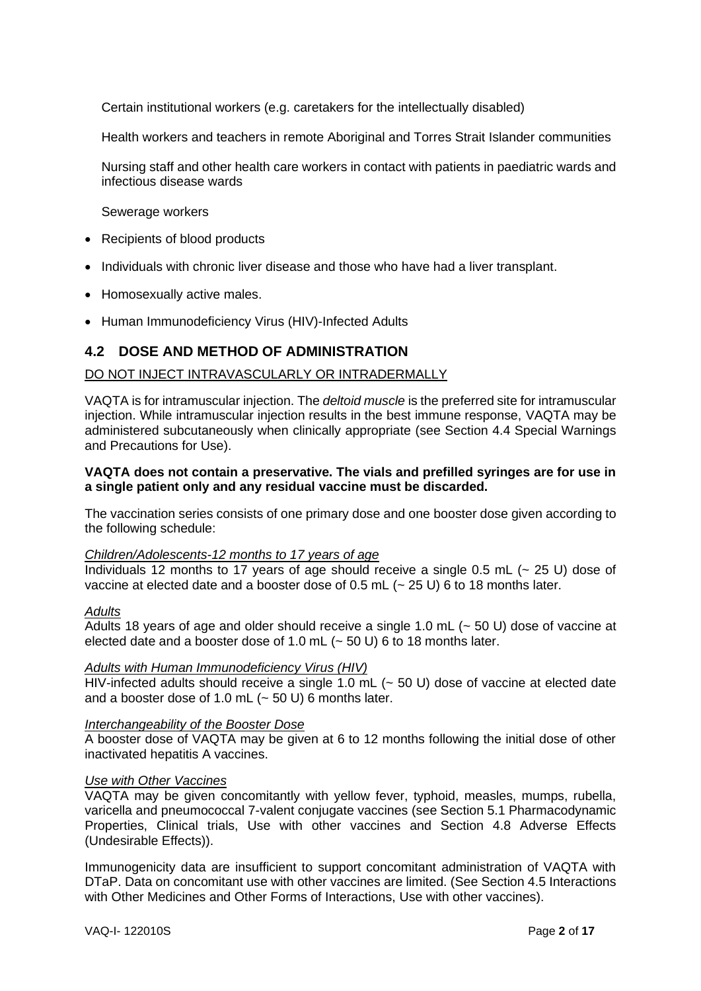Certain institutional workers (e.g. caretakers for the intellectually disabled)

Health workers and teachers in remote Aboriginal and Torres Strait Islander communities

Nursing staff and other health care workers in contact with patients in paediatric wards and infectious disease wards

Sewerage workers

- Recipients of blood products
- Individuals with chronic liver disease and those who have had a liver transplant.
- Homosexually active males.
- Human Immunodeficiency Virus (HIV)-Infected Adults

## **4.2 DOSE AND METHOD OF ADMINISTRATION**

#### DO NOT INJECT INTRAVASCULARLY OR INTRADERMALLY

VAQTA is for intramuscular injection. The *deltoid muscle* is the preferred site for intramuscular injection. While intramuscular injection results in the best immune response, VAQTA may be administered subcutaneously when clinically appropriate (see Section 4.4 Special Warnings and Precautions for Use).

### **VAQTA does not contain a preservative. The vials and prefilled syringes are for use in a single patient only and any residual vaccine must be discarded.**

The vaccination series consists of one primary dose and one booster dose given according to the following schedule:

#### *Children/Adolescents-12 months to 17 years of age*

Individuals 12 months to 17 years of age should receive a single 0.5 mL  $(-25 \text{ U})$  dose of vaccine at elected date and a booster dose of 0.5 mL (~ 25 U) 6 to 18 months later.

#### *Adults*

Adults 18 years of age and older should receive a single 1.0 mL (~ 50 U) dose of vaccine at elected date and a booster dose of 1.0 mL  $(-50 U)$  6 to 18 months later.

#### *Adults with Human Immunodeficiency Virus (HIV)*

HIV-infected adults should receive a single 1.0 mL (~ 50 U) dose of vaccine at elected date and a booster dose of 1.0 mL  $(-50 U)$  6 months later.

#### *Interchangeability of the Booster Dose*

A booster dose of VAQTA may be given at 6 to 12 months following the initial dose of other inactivated hepatitis A vaccines.

#### *Use with Other Vaccines*

VAQTA may be given concomitantly with yellow fever, typhoid, measles, mumps, rubella, varicella and pneumococcal 7-valent conjugate vaccines (see Section 5.1 Pharmacodynamic Properties, Clinical trials, Use with other vaccines and Section 4.8 Adverse Effects (Undesirable Effects)).

Immunogenicity data are insufficient to support concomitant administration of VAQTA with DTaP. Data on concomitant use with other vaccines are limited. (See Section 4.5 Interactions with Other Medicines and Other Forms of Interactions, Use with other vaccines).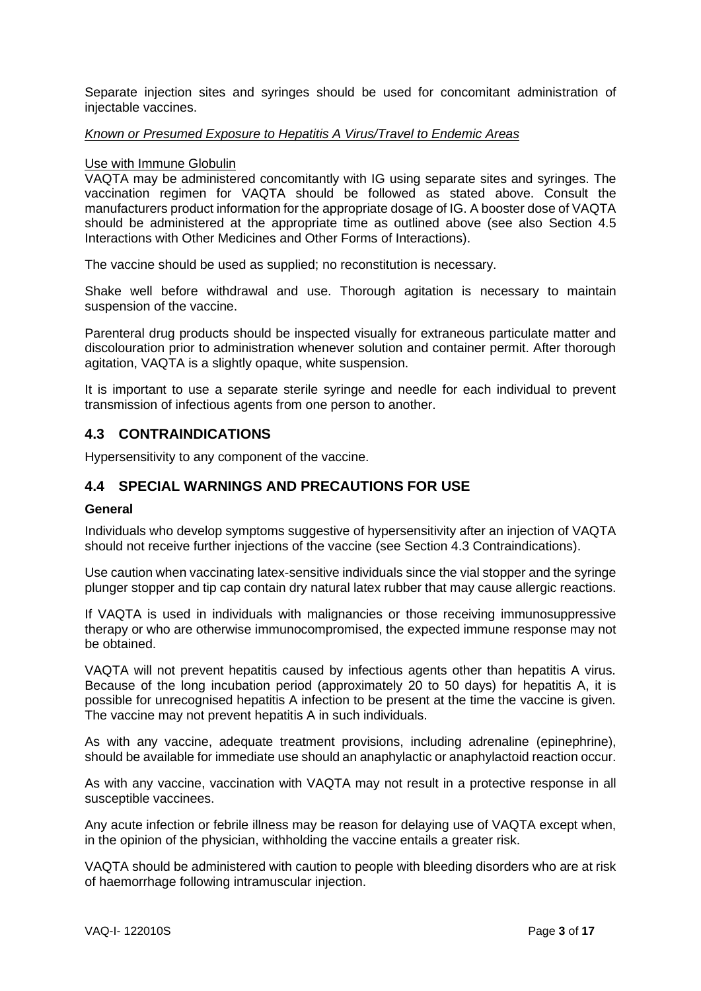Separate injection sites and syringes should be used for concomitant administration of injectable vaccines.

#### *Known or Presumed Exposure to Hepatitis A Virus/Travel to Endemic Areas*

#### Use with Immune Globulin

VAQTA may be administered concomitantly with IG using separate sites and syringes. The vaccination regimen for VAQTA should be followed as stated above. Consult the manufacturers product information for the appropriate dosage of IG. A booster dose of VAQTA should be administered at the appropriate time as outlined above (see also Section 4.5 Interactions with Other Medicines and Other Forms of Interactions).

The vaccine should be used as supplied; no reconstitution is necessary.

Shake well before withdrawal and use. Thorough agitation is necessary to maintain suspension of the vaccine.

Parenteral drug products should be inspected visually for extraneous particulate matter and discolouration prior to administration whenever solution and container permit. After thorough agitation, VAQTA is a slightly opaque, white suspension.

It is important to use a separate sterile syringe and needle for each individual to prevent transmission of infectious agents from one person to another.

## **4.3 CONTRAINDICATIONS**

Hypersensitivity to any component of the vaccine.

## **4.4 SPECIAL WARNINGS AND PRECAUTIONS FOR USE**

#### **General**

Individuals who develop symptoms suggestive of hypersensitivity after an injection of VAQTA should not receive further injections of the vaccine (see Section 4.3 Contraindications).

Use caution when vaccinating latex-sensitive individuals since the vial stopper and the syringe plunger stopper and tip cap contain dry natural latex rubber that may cause allergic reactions.

If VAQTA is used in individuals with malignancies or those receiving immunosuppressive therapy or who are otherwise immunocompromised, the expected immune response may not be obtained.

VAQTA will not prevent hepatitis caused by infectious agents other than hepatitis A virus. Because of the long incubation period (approximately 20 to 50 days) for hepatitis A, it is possible for unrecognised hepatitis A infection to be present at the time the vaccine is given. The vaccine may not prevent hepatitis A in such individuals.

As with any vaccine, adequate treatment provisions, including adrenaline (epinephrine), should be available for immediate use should an anaphylactic or anaphylactoid reaction occur.

As with any vaccine, vaccination with VAQTA may not result in a protective response in all susceptible vaccinees.

Any acute infection or febrile illness may be reason for delaying use of VAQTA except when, in the opinion of the physician, withholding the vaccine entails a greater risk.

VAQTA should be administered with caution to people with bleeding disorders who are at risk of haemorrhage following intramuscular injection.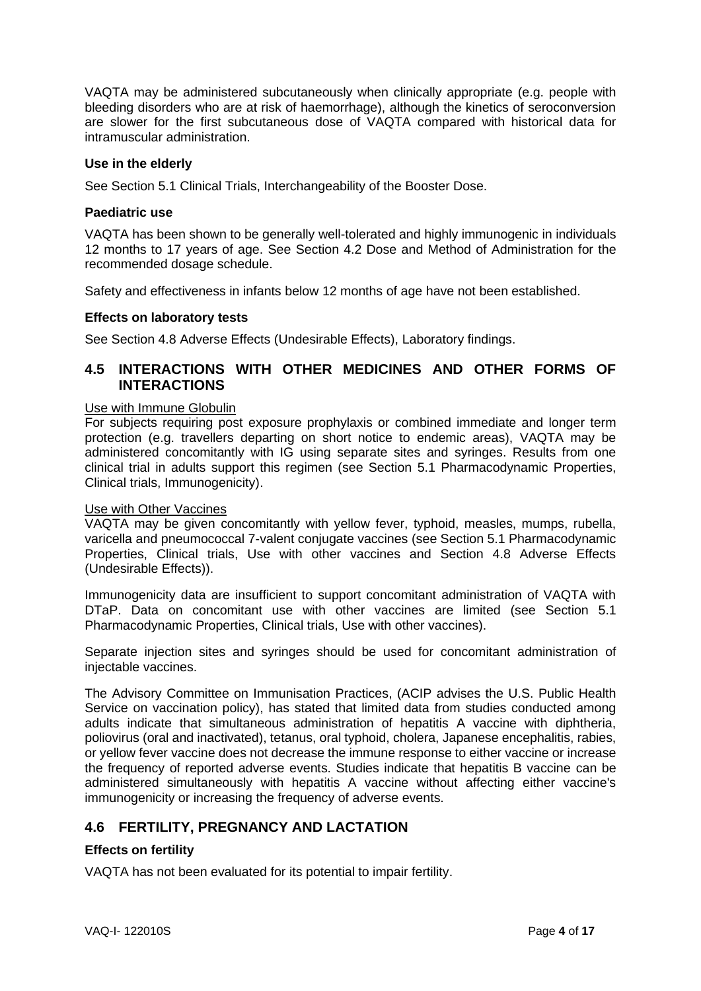VAQTA may be administered subcutaneously when clinically appropriate (e.g. people with bleeding disorders who are at risk of haemorrhage), although the kinetics of seroconversion are slower for the first subcutaneous dose of VAQTA compared with historical data for intramuscular administration.

## **Use in the elderly**

See Section 5.1 Clinical Trials, Interchangeability of the Booster Dose.

#### **Paediatric use**

VAQTA has been shown to be generally well-tolerated and highly immunogenic in individuals 12 months to 17 years of age. See Section 4.2 Dose and Method of Administration for the recommended dosage schedule.

Safety and effectiveness in infants below 12 months of age have not been established.

### **Effects on laboratory tests**

See Section 4.8 Adverse Effects (Undesirable Effects), Laboratory findings.

## **4.5 INTERACTIONS WITH OTHER MEDICINES AND OTHER FORMS OF INTERACTIONS**

#### Use with Immune Globulin

For subjects requiring post exposure prophylaxis or combined immediate and longer term protection (e.g. travellers departing on short notice to endemic areas), VAQTA may be administered concomitantly with IG using separate sites and syringes. Results from one clinical trial in adults support this regimen (see Section 5.1 Pharmacodynamic Properties, Clinical trials, Immunogenicity).

#### Use with Other Vaccines

VAQTA may be given concomitantly with yellow fever, typhoid, measles, mumps, rubella, varicella and pneumococcal 7-valent conjugate vaccines (see Section 5.1 Pharmacodynamic Properties, Clinical trials, Use with other vaccines and Section 4.8 Adverse Effects (Undesirable Effects)).

Immunogenicity data are insufficient to support concomitant administration of VAQTA with DTaP. Data on concomitant use with other vaccines are limited (see Section 5.1 Pharmacodynamic Properties, Clinical trials, Use with other vaccines).

Separate injection sites and syringes should be used for concomitant administration of injectable vaccines.

The Advisory Committee on Immunisation Practices, (ACIP advises the U.S. Public Health Service on vaccination policy), has stated that limited data from studies conducted among adults indicate that simultaneous administration of hepatitis A vaccine with diphtheria, poliovirus (oral and inactivated), tetanus, oral typhoid, cholera, Japanese encephalitis, rabies, or yellow fever vaccine does not decrease the immune response to either vaccine or increase the frequency of reported adverse events. Studies indicate that hepatitis B vaccine can be administered simultaneously with hepatitis A vaccine without affecting either vaccine's immunogenicity or increasing the frequency of adverse events.

# **4.6 FERTILITY, PREGNANCY AND LACTATION**

## **Effects on fertility**

VAQTA has not been evaluated for its potential to impair fertility.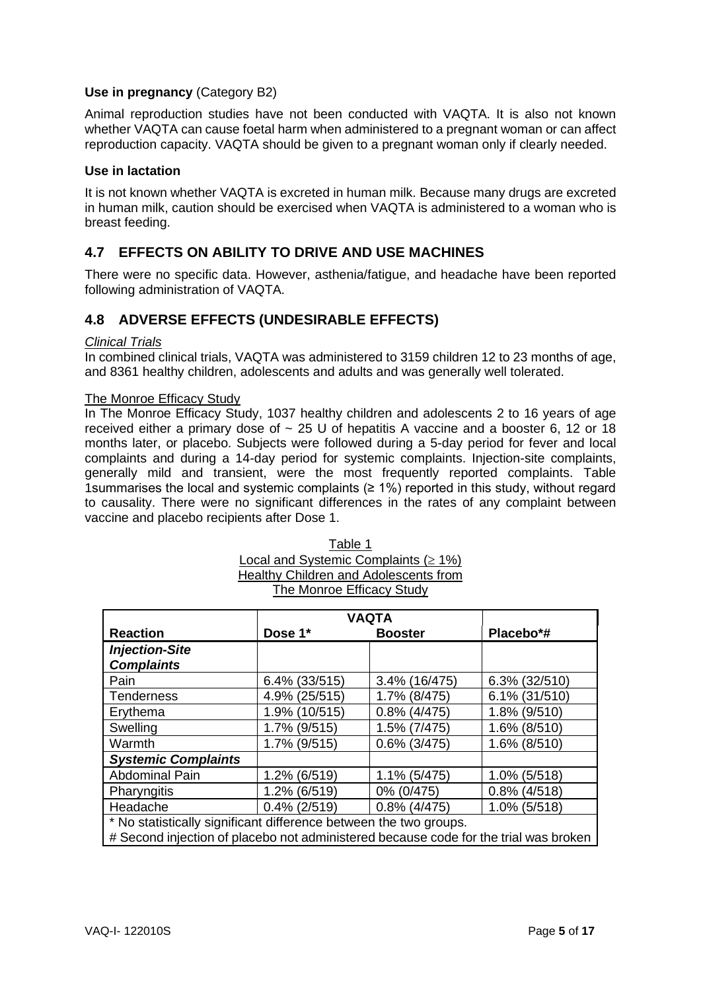### **Use in pregnancy** (Category B2)

Animal reproduction studies have not been conducted with VAQTA. It is also not known whether VAQTA can cause foetal harm when administered to a pregnant woman or can affect reproduction capacity. VAQTA should be given to a pregnant woman only if clearly needed.

### **Use in lactation**

It is not known whether VAQTA is excreted in human milk. Because many drugs are excreted in human milk, caution should be exercised when VAQTA is administered to a woman who is breast feeding.

# **4.7 EFFECTS ON ABILITY TO DRIVE AND USE MACHINES**

There were no specific data. However, asthenia/fatigue, and headache have been reported following administration of VAQTA.

# **4.8 ADVERSE EFFECTS (UNDESIRABLE EFFECTS)**

#### *Clinical Trials*

In combined clinical trials, VAQTA was administered to 3159 children 12 to 23 months of age, and 8361 healthy children, adolescents and adults and was generally well tolerated.

#### The Monroe Efficacy Study

In The Monroe Efficacy Study, 1037 healthy children and adolescents 2 to 16 years of age received either a primary dose of  $\sim$  25 U of hepatitis A vaccine and a booster 6, 12 or 18 months later, or placebo. Subjects were followed during a 5-day period for fever and local complaints and during a 14-day period for systemic complaints. Injection-site complaints, generally mild and transient, were the most frequently reported complaints. Table 1 summarises the local and systemic complaints  $(≥ 1%)$  reported in this study, without regard to causality. There were no significant differences in the rates of any complaint between vaccine and placebo recipients after Dose 1.

|                                                                                      | <b>VAQTA</b>     |                 |                  |  |
|--------------------------------------------------------------------------------------|------------------|-----------------|------------------|--|
| <b>Reaction</b>                                                                      | Dose 1*          | <b>Booster</b>  | Placebo*#        |  |
| <b>Injection-Site</b>                                                                |                  |                 |                  |  |
| <b>Complaints</b>                                                                    |                  |                 |                  |  |
| Pain                                                                                 | $6.4\%$ (33/515) | 3.4% (16/475)   | $6.3\%$ (32/510) |  |
| <b>Tenderness</b>                                                                    | 4.9% (25/515)    | 1.7% (8/475)    | 6.1% (31/510)    |  |
| Erythema                                                                             | 1.9% (10/515)    | $0.8\%$ (4/475) | 1.8% (9/510)     |  |
| Swelling                                                                             | 1.7% (9/515)     | 1.5% (7/475)    | 1.6% (8/510)     |  |
| Warmth                                                                               | 1.7% (9/515)     | $0.6\%$ (3/475) | 1.6% (8/510)     |  |
| <b>Systemic Complaints</b>                                                           |                  |                 |                  |  |
| <b>Abdominal Pain</b>                                                                | 1.2% (6/519)     | 1.1% (5/475)    | 1.0% (5/518)     |  |
| Pharyngitis                                                                          | 1.2% (6/519)     | 0% (0/475)      | $0.8\%$ (4/518)  |  |
| Headache                                                                             | $0.4\%$ (2/519)  | $0.8\%$ (4/475) | 1.0% (5/518)     |  |
| * No statistically significant difference between the two groups.                    |                  |                 |                  |  |
| # Second injection of placebo not administered because code for the trial was broken |                  |                 |                  |  |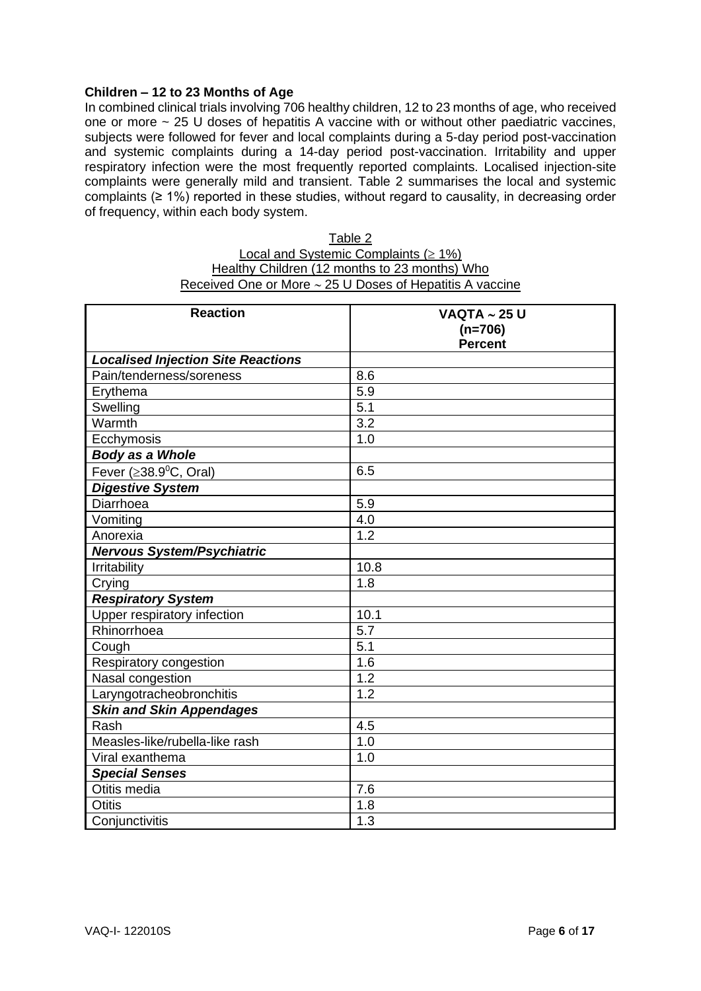### **Children – 12 to 23 Months of Age**

In combined clinical trials involving 706 healthy children, 12 to 23 months of age, who received one or more  $\sim$  25 U doses of hepatitis A vaccine with or without other paediatric vaccines, subjects were followed for fever and local complaints during a 5-day period post-vaccination and systemic complaints during a 14-day period post-vaccination. Irritability and upper respiratory infection were the most frequently reported complaints. Localised injection-site complaints were generally mild and transient. Table 2 summarises the local and systemic complaints (≥ 1%) reported in these studies, without regard to causality, in decreasing order of frequency, within each body system.

| Table 2                                                       |
|---------------------------------------------------------------|
| Local and Systemic Complaints ( $\geq 1\%$ )                  |
| Healthy Children (12 months to 23 months) Who                 |
| Received One or More $\sim$ 25 U Doses of Hepatitis A vaccine |

| <b>Reaction</b>                           | <b>VAQTA ~ 25 U</b>         |
|-------------------------------------------|-----------------------------|
|                                           | $(n=706)$<br><b>Percent</b> |
| <b>Localised Injection Site Reactions</b> |                             |
| Pain/tenderness/soreness                  | 8.6                         |
| Erythema                                  | 5.9                         |
| Swelling                                  | 5.1                         |
| Warmth                                    | $\overline{3.2}$            |
| Ecchymosis                                | 1.0                         |
| Body as a Whole                           |                             |
| Fever ( $\geq$ 38.9 $^0$ C, Oral)         | 6.5                         |
| <b>Digestive System</b>                   |                             |
| Diarrhoea                                 | 5.9                         |
| Vomiting                                  | 4.0                         |
| Anorexia                                  | 1.2                         |
| <b>Nervous System/Psychiatric</b>         |                             |
| Irritability                              | 10.8                        |
| Crying                                    | 1.8                         |
| <b>Respiratory System</b>                 |                             |
| Upper respiratory infection               | 10.1                        |
| Rhinorrhoea                               | 5.7                         |
| Cough                                     | $\overline{5.1}$            |
| Respiratory congestion                    | 1.6                         |
| Nasal congestion                          | 1.2                         |
| Laryngotracheobronchitis                  | 1.2                         |
| Skin and Skin Appendages                  |                             |
| Rash                                      | 4.5                         |
| Measles-like/rubella-like rash            | 1.0                         |
| Viral exanthema                           | 1.0                         |
| <b>Special Senses</b>                     |                             |
| Otitis media                              | 7.6                         |
| <b>Otitis</b>                             | 1.8                         |
| Conjunctivitis                            | 1.3                         |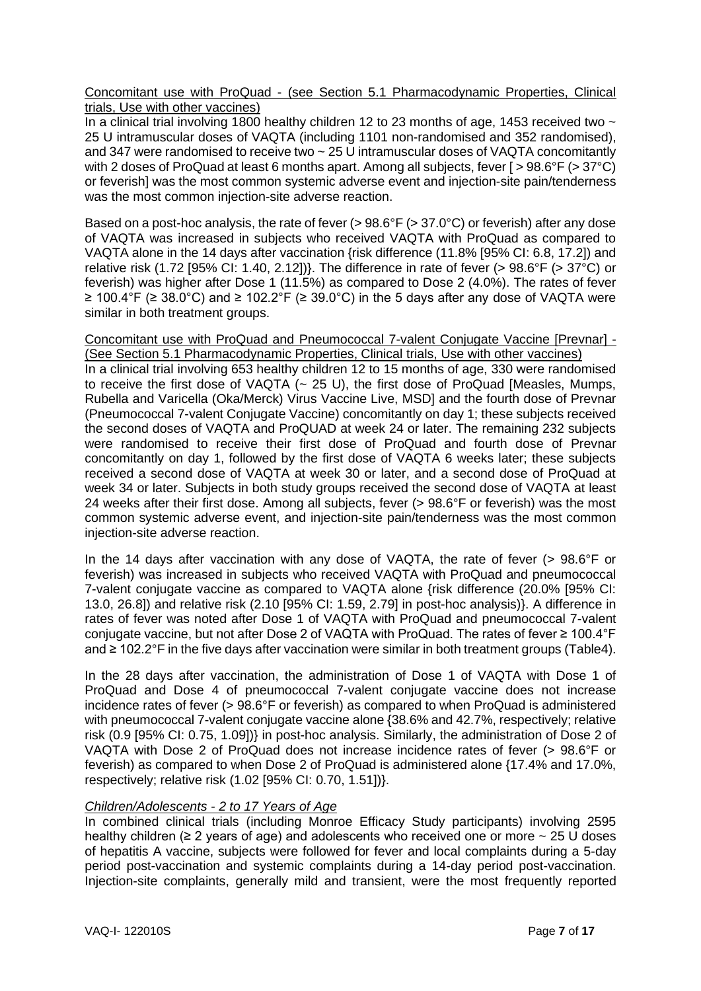Concomitant use with ProQuad - (see Section 5.1 Pharmacodynamic Properties, Clinical trials, Use with other vaccines)

In a clinical trial involving 1800 healthy children 12 to 23 months of age, 1453 received two  $\sim$ 25 U intramuscular doses of VAQTA (including 1101 non-randomised and 352 randomised), and 347 were randomised to receive two ~ 25 U intramuscular doses of VAQTA concomitantly with 2 doses of ProQuad at least 6 months apart. Among all subjects, fever [ > 98.6°F (> 37°C) or feverish] was the most common systemic adverse event and injection-site pain/tenderness was the most common injection-site adverse reaction.

Based on a post-hoc analysis, the rate of fever (> 98.6°F (> 37.0°C) or feverish) after any dose of VAQTA was increased in subjects who received VAQTA with ProQuad as compared to VAQTA alone in the 14 days after vaccination {risk difference (11.8% [95% CI: 6.8, 17.2]) and relative risk (1.72 [95% CI: 1.40, 2.12])}. The difference in rate of fever (> 98.6°F (> 37°C) or feverish) was higher after Dose 1 (11.5%) as compared to Dose 2 (4.0%). The rates of fever ≥ 100.4°F (≥ 38.0°C) and ≥ 102.2°F (≥ 39.0°C) in the 5 days after any dose of VAQTA were similar in both treatment groups.

Concomitant use with ProQuad and Pneumococcal 7-valent Conjugate Vaccine [Prevnar] - (See Section 5.1 Pharmacodynamic Properties, Clinical trials, Use with other vaccines)

In a clinical trial involving 653 healthy children 12 to 15 months of age, 330 were randomised to receive the first dose of VAQTA (~ 25 U), the first dose of ProQuad [Measles, Mumps, Rubella and Varicella (Oka/Merck) Virus Vaccine Live, MSD] and the fourth dose of Prevnar (Pneumococcal 7-valent Conjugate Vaccine) concomitantly on day 1; these subjects received the second doses of VAQTA and ProQUAD at week 24 or later. The remaining 232 subjects were randomised to receive their first dose of ProQuad and fourth dose of Prevnar concomitantly on day 1, followed by the first dose of VAQTA 6 weeks later; these subjects received a second dose of VAQTA at week 30 or later, and a second dose of ProQuad at week 34 or later. Subjects in both study groups received the second dose of VAQTA at least 24 weeks after their first dose. Among all subjects, fever (> 98.6°F or feverish) was the most common systemic adverse event, and injection-site pain/tenderness was the most common injection-site adverse reaction.

In the 14 days after vaccination with any dose of VAQTA, the rate of fever (> 98.6°F or feverish) was increased in subjects who received VAQTA with ProQuad and pneumococcal 7-valent conjugate vaccine as compared to VAQTA alone {risk difference (20.0% [95% CI: 13.0, 26.8]) and relative risk (2.10 [95% CI: 1.59, 2.79] in post-hoc analysis)}. A difference in rates of fever was noted after Dose 1 of VAQTA with ProQuad and pneumococcal 7-valent conjugate vaccine, but not after Dose 2 of VAQTA with ProQuad. The rates of fever ≥ 100.4°F and ≥ 102.2°F in the five days after vaccination were similar in both treatment groups (Table4).

In the 28 days after vaccination, the administration of Dose 1 of VAQTA with Dose 1 of ProQuad and Dose 4 of pneumococcal 7-valent conjugate vaccine does not increase incidence rates of fever (> 98.6°F or feverish) as compared to when ProQuad is administered with pneumococcal 7-valent conjugate vaccine alone {38.6% and 42.7%, respectively; relative risk (0.9 [95% CI: 0.75, 1.09])} in post-hoc analysis. Similarly, the administration of Dose 2 of VAQTA with Dose 2 of ProQuad does not increase incidence rates of fever (> 98.6°F or feverish) as compared to when Dose 2 of ProQuad is administered alone {17.4% and 17.0%, respectively; relative risk (1.02 [95% CI: 0.70, 1.51])}.

## *Children/Adolescents - 2 to 17 Years of Age*

In combined clinical trials (including Monroe Efficacy Study participants) involving 2595 healthy children ( $\geq 2$  years of age) and adolescents who received one or more  $\sim 25$  U doses of hepatitis A vaccine, subjects were followed for fever and local complaints during a 5-day period post-vaccination and systemic complaints during a 14-day period post-vaccination. Injection-site complaints, generally mild and transient, were the most frequently reported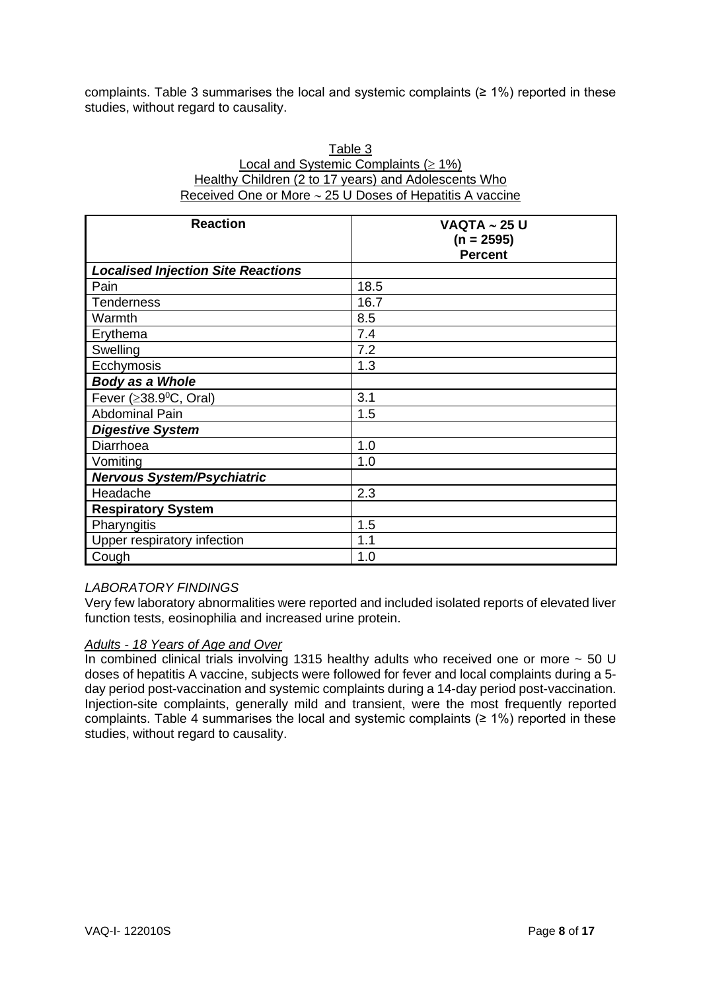complaints. Table 3 summarises the local and systemic complaints ( $\geq 1\%$ ) reported in these studies, without regard to causality.

| Table 3                                                       |
|---------------------------------------------------------------|
| Local and Systemic Complaints ( $\geq 1\%$ )                  |
| Healthy Children (2 to 17 years) and Adolescents Who          |
| Received One or More $\sim$ 25 U Doses of Hepatitis A vaccine |

| <b>Reaction</b>                           | <b>VAQTA ~ 25 U</b><br>$(n = 2595)$<br><b>Percent</b> |
|-------------------------------------------|-------------------------------------------------------|
| <b>Localised Injection Site Reactions</b> |                                                       |
| Pain                                      | 18.5                                                  |
| <b>Tenderness</b>                         | 16.7                                                  |
| Warmth                                    | 8.5                                                   |
| Erythema                                  | 7.4                                                   |
| Swelling                                  | 7.2                                                   |
| Ecchymosis                                | 1.3                                                   |
| Body as a Whole                           |                                                       |
| Fever ( $\geq$ 38.9 <sup>0</sup> C, Oral) | 3.1                                                   |
| <b>Abdominal Pain</b>                     | 1.5                                                   |
| <b>Digestive System</b>                   |                                                       |
| Diarrhoea                                 | 1.0                                                   |
| Vomiting                                  | 1.0                                                   |
| <b>Nervous System/Psychiatric</b>         |                                                       |
| Headache                                  | 2.3                                                   |
| <b>Respiratory System</b>                 |                                                       |
| Pharyngitis                               | 1.5                                                   |
| Upper respiratory infection               | 1.1                                                   |
| Cough                                     | 1.0                                                   |

## *LABORATORY FINDINGS*

Very few laboratory abnormalities were reported and included isolated reports of elevated liver function tests, eosinophilia and increased urine protein.

### *Adults - 18 Years of Age and Over*

In combined clinical trials involving 1315 healthy adults who received one or more  $\sim$  50 U doses of hepatitis A vaccine, subjects were followed for fever and local complaints during a 5 day period post-vaccination and systemic complaints during a 14-day period post-vaccination. Injection-site complaints, generally mild and transient, were the most frequently reported complaints. Table 4 summarises the local and systemic complaints ( $\geq 1\%$ ) reported in these studies, without regard to causality.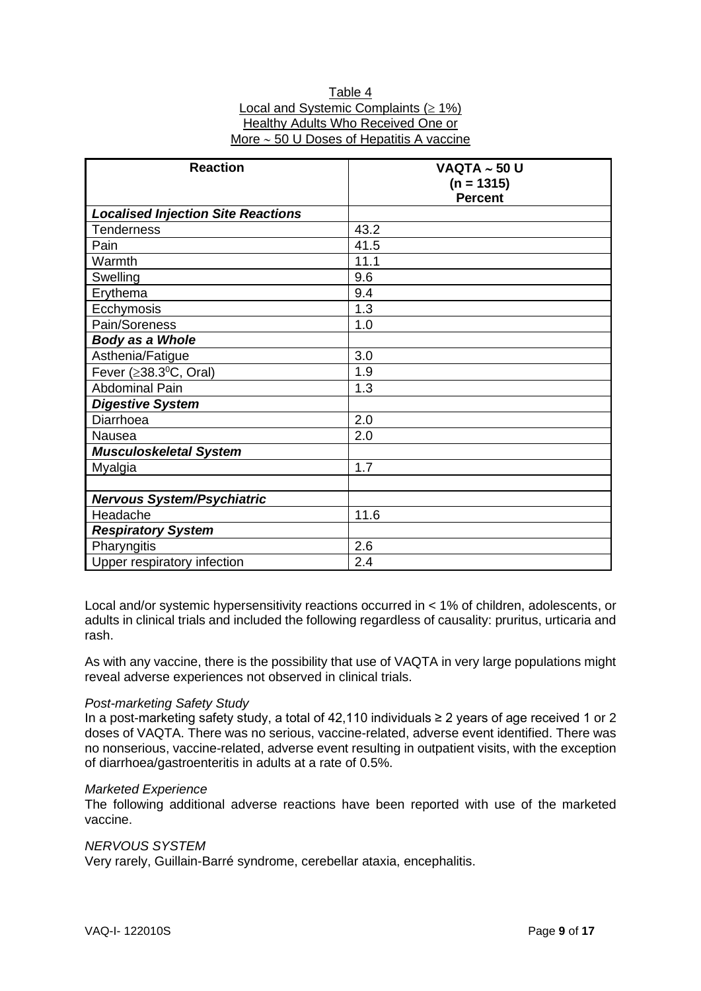| Table 4                                       |
|-----------------------------------------------|
| Local and Systemic Complaints ( $\geq 1\%$ )  |
| Healthy Adults Who Received One or            |
| More $\sim$ 50 U Doses of Hepatitis A vaccine |
|                                               |

| <b>Reaction</b>                           | <b>VAQTA ~ 50 U</b><br>$(n = 1315)$<br><b>Percent</b> |
|-------------------------------------------|-------------------------------------------------------|
| <b>Localised Injection Site Reactions</b> |                                                       |
| Tenderness                                | 43.2                                                  |
| Pain                                      | 41.5                                                  |
| Warmth                                    | 11.1                                                  |
| Swelling                                  | 9.6                                                   |
| Erythema                                  | 9.4                                                   |
| Ecchymosis                                | 1.3                                                   |
| Pain/Soreness                             | 1.0                                                   |
| <b>Body as a Whole</b>                    |                                                       |
| Asthenia/Fatigue                          | 3.0                                                   |
| Fever ( $\geq$ 38.3 <sup>0</sup> C, Oral) | 1.9                                                   |
| <b>Abdominal Pain</b>                     | 1.3                                                   |
| <b>Digestive System</b>                   |                                                       |
| Diarrhoea                                 | 2.0                                                   |
| Nausea                                    | 2.0                                                   |
| <b>Musculoskeletal System</b>             |                                                       |
| Myalgia                                   | 1.7                                                   |
|                                           |                                                       |
| <b>Nervous System/Psychiatric</b>         |                                                       |
| Headache                                  | 11.6                                                  |
| <b>Respiratory System</b>                 |                                                       |
| Pharyngitis                               | 2.6                                                   |
| Upper respiratory infection               | 2.4                                                   |

Local and/or systemic hypersensitivity reactions occurred in < 1% of children, adolescents, or adults in clinical trials and included the following regardless of causality: pruritus, urticaria and rash.

As with any vaccine, there is the possibility that use of VAQTA in very large populations might reveal adverse experiences not observed in clinical trials.

#### *Post-marketing Safety Study*

In a post-marketing safety study, a total of 42,110 individuals ≥ 2 years of age received 1 or 2 doses of VAQTA. There was no serious, vaccine-related, adverse event identified. There was no nonserious, vaccine-related, adverse event resulting in outpatient visits, with the exception of diarrhoea/gastroenteritis in adults at a rate of 0.5%.

#### *Marketed Experience*

The following additional adverse reactions have been reported with use of the marketed vaccine.

#### *NERVOUS SYSTEM*

Very rarely, Guillain-Barré syndrome, cerebellar ataxia, encephalitis.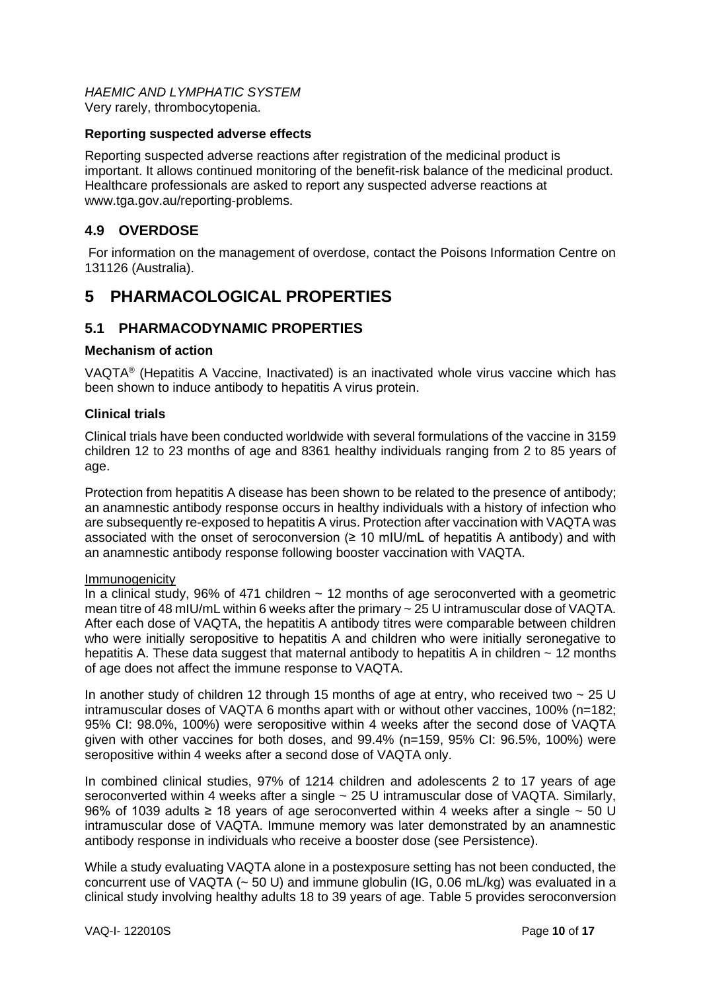*HAEMIC AND LYMPHATIC SYSTEM* Very rarely, thrombocytopenia.

### **Reporting suspected adverse effects**

Reporting suspected adverse reactions after registration of the medicinal product is important. It allows continued monitoring of the benefit-risk balance of the medicinal product. Healthcare professionals are asked to report any suspected adverse reactions at www.tga.gov.au/reporting-problems.

# **4.9 OVERDOSE**

For information on the management of overdose, contact the Poisons Information Centre on 131126 (Australia).

# **5 PHARMACOLOGICAL PROPERTIES**

# **5.1 PHARMACODYNAMIC PROPERTIES**

### **Mechanism of action**

VAQTA® (Hepatitis A Vaccine, Inactivated) is an inactivated whole virus vaccine which has been shown to induce antibody to hepatitis A virus protein.

### **Clinical trials**

Clinical trials have been conducted worldwide with several formulations of the vaccine in 3159 children 12 to 23 months of age and 8361 healthy individuals ranging from 2 to 85 years of age.

Protection from hepatitis A disease has been shown to be related to the presence of antibody; an anamnestic antibody response occurs in healthy individuals with a history of infection who are subsequently re-exposed to hepatitis A virus. Protection after vaccination with VAQTA was associated with the onset of seroconversion ( $\geq 10$  mIU/mL of hepatitis A antibody) and with an anamnestic antibody response following booster vaccination with VAQTA.

#### Immunogenicity

In a clinical study, 96% of 471 children  $\sim$  12 months of age seroconverted with a geometric mean titre of 48 mIU/mL within 6 weeks after the primary ~ 25 U intramuscular dose of VAQTA. After each dose of VAQTA, the hepatitis A antibody titres were comparable between children who were initially seropositive to hepatitis A and children who were initially seronegative to hepatitis A. These data suggest that maternal antibody to hepatitis A in children  $\sim$  12 months of age does not affect the immune response to VAQTA.

In another study of children 12 through 15 months of age at entry, who received two  $\sim$  25 U intramuscular doses of VAQTA 6 months apart with or without other vaccines, 100% (n=182; 95% CI: 98.0%, 100%) were seropositive within 4 weeks after the second dose of VAQTA given with other vaccines for both doses, and 99.4% (n=159, 95% CI: 96.5%, 100%) were seropositive within 4 weeks after a second dose of VAQTA only.

In combined clinical studies, 97% of 1214 children and adolescents 2 to 17 years of age seroconverted within 4 weeks after a single ~ 25 U intramuscular dose of VAQTA. Similarly, 96% of 1039 adults ≥ 18 years of age seroconverted within 4 weeks after a single  $\sim$  50 U intramuscular dose of VAQTA. Immune memory was later demonstrated by an anamnestic antibody response in individuals who receive a booster dose (see Persistence).

While a study evaluating VAQTA alone in a postexposure setting has not been conducted, the concurrent use of VAQTA  $(-50 \text{ U})$  and immune globulin (IG, 0.06 mL/kg) was evaluated in a clinical study involving healthy adults 18 to 39 years of age. Table 5 provides seroconversion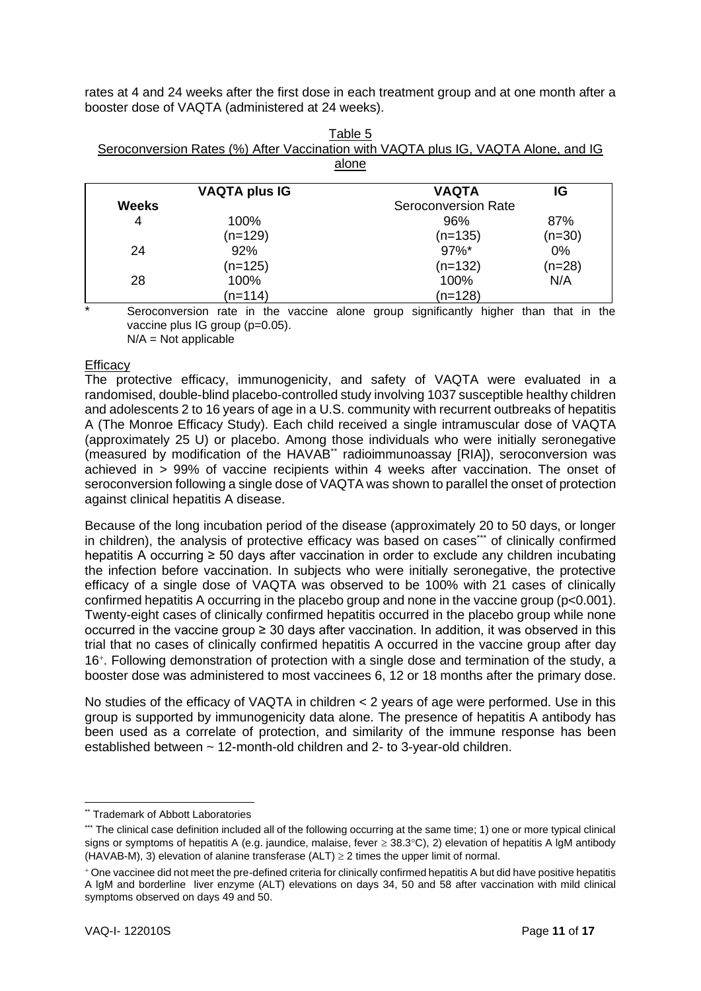rates at 4 and 24 weeks after the first dose in each treatment group and at one month after a booster dose of VAQTA (administered at 24 weeks).

| Seroconversion Rates (%) After Vaccination with VAQTA plus IG, VAQTA Alone, and IG |                     |    |
|------------------------------------------------------------------------------------|---------------------|----|
|                                                                                    | alone               |    |
|                                                                                    |                     |    |
| <b>VAQTA plus IG</b>                                                               | <b>VAQTA</b>        | IG |
| <b>Weeks</b>                                                                       | Seroconversion Rate |    |

| Table 5                                                                            |
|------------------------------------------------------------------------------------|
| Seroconversion Rates (%) After Vaccination with VAQTA plus IG, VAQTA Alone, and IG |
| مصمام                                                                              |

|       | VAQIA PIUS IG | VAQIA               | ناا      |  |
|-------|---------------|---------------------|----------|--|
| Weeks |               | Seroconversion Rate |          |  |
| 4     | 100%          | 96%                 | 87%      |  |
|       | $(n=129)$     | $(n=135)$           | $(n=30)$ |  |
| 24    | 92%           | $97\%$ *            | $0\%$    |  |
|       | $(n=125)$     | $(n=132)$           | $(n=28)$ |  |
| 28    | 100%          | 100%                | N/A      |  |
|       | (n=114)       | $(n=128)$           |          |  |

Seroconversion rate in the vaccine alone group significantly higher than that in the vaccine plus IG group (p=0.05).

 $N/A = Not$  applicable

## **Efficacy**

The protective efficacy, immunogenicity, and safety of VAQTA were evaluated in a randomised, double-blind placebo-controlled study involving 1037 susceptible healthy children and adolescents 2 to 16 years of age in a U.S. community with recurrent outbreaks of hepatitis A (The Monroe Efficacy Study). Each child received a single intramuscular dose of VAQTA (approximately 25 U) or placebo. Among those individuals who were initially seronegative (measured by modification of the HAVAB\*\* radioimmunoassay [RIA]), seroconversion was achieved in > 99% of vaccine recipients within 4 weeks after vaccination. The onset of seroconversion following a single dose of VAQTA was shown to parallel the onset of protection against clinical hepatitis A disease.

Because of the long incubation period of the disease (approximately 20 to 50 days, or longer in children), the analysis of protective efficacy was based on cases\*\*\* of clinically confirmed hepatitis A occurring ≥ 50 days after vaccination in order to exclude any children incubating the infection before vaccination. In subjects who were initially seronegative, the protective efficacy of a single dose of VAQTA was observed to be 100% with 21 cases of clinically confirmed hepatitis A occurring in the placebo group and none in the vaccine group (p<0.001). Twenty-eight cases of clinically confirmed hepatitis occurred in the placebo group while none occurred in the vaccine group  $\geq 30$  days after vaccination. In addition, it was observed in this trial that no cases of clinically confirmed hepatitis A occurred in the vaccine group after day 16<sup>+</sup>. Following demonstration of protection with a single dose and termination of the study, a booster dose was administered to most vaccinees 6, 12 or 18 months after the primary dose.

No studies of the efficacy of VAQTA in children < 2 years of age were performed. Use in this group is supported by immunogenicity data alone. The presence of hepatitis A antibody has been used as a correlate of protection, and similarity of the immune response has been established between ~ 12-month-old children and 2- to 3-year-old children.

<sup>\*\*</sup> Trademark of Abbott Laboratories

<sup>\*\*\*</sup> The clinical case definition included all of the following occurring at the same time; 1) one or more typical clinical signs or symptoms of hepatitis A (e.g. jaundice, malaise, fever  $\geq$  38.3°C), 2) elevation of hepatitis A lgM antibody (HAVAB-M), 3) elevation of alanine transferase (ALT)  $\geq$  2 times the upper limit of normal.

<sup>+</sup> One vaccinee did not meet the pre-defined criteria for clinically confirmed hepatitis A but did have positive hepatitis A lgM and borderline liver enzyme (ALT) elevations on days 34, 50 and 58 after vaccination with mild clinical symptoms observed on days 49 and 50.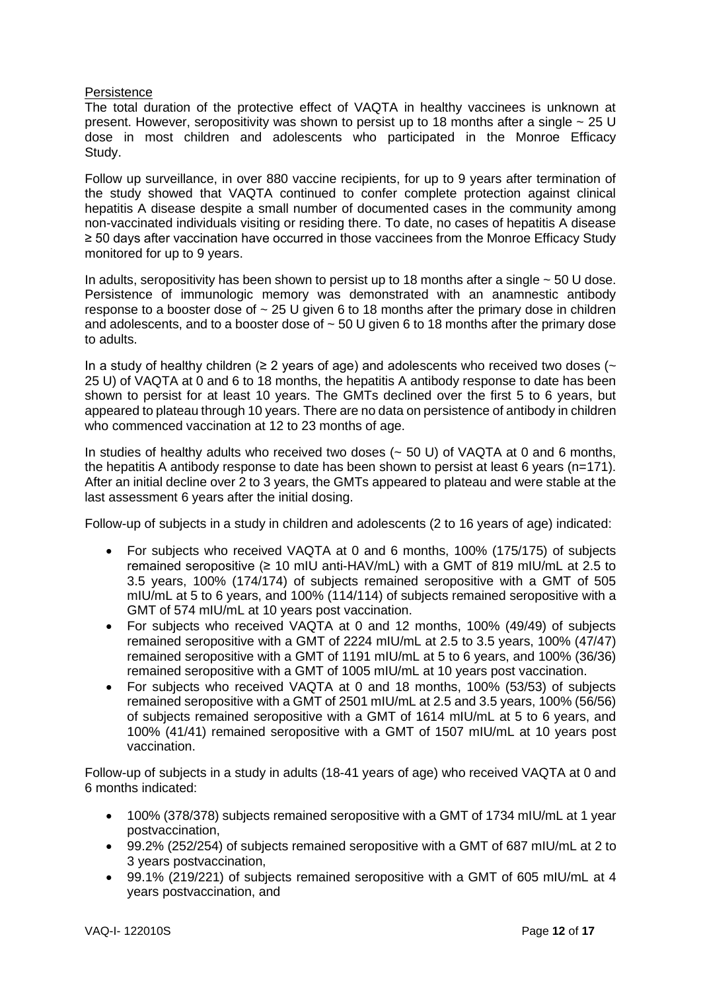### **Persistence**

The total duration of the protective effect of VAQTA in healthy vaccinees is unknown at present. However, seropositivity was shown to persist up to 18 months after a single  $\sim$  25 U dose in most children and adolescents who participated in the Monroe Efficacy Study.

Follow up surveillance, in over 880 vaccine recipients, for up to 9 years after termination of the study showed that VAQTA continued to confer complete protection against clinical hepatitis A disease despite a small number of documented cases in the community among non-vaccinated individuals visiting or residing there. To date, no cases of hepatitis A disease ≥ 50 days after vaccination have occurred in those vaccinees from the Monroe Efficacy Study monitored for up to 9 years.

In adults, seropositivity has been shown to persist up to 18 months after a single  $\sim$  50 U dose. Persistence of immunologic memory was demonstrated with an anamnestic antibody response to a booster dose of  $\sim$  25 U given 6 to 18 months after the primary dose in children and adolescents, and to a booster dose of  $\sim$  50 U given 6 to 18 months after the primary dose to adults.

In a study of healthy children ( $\geq 2$  years of age) and adolescents who received two doses ( $\sim$ 25 U) of VAQTA at 0 and 6 to 18 months, the hepatitis A antibody response to date has been shown to persist for at least 10 years. The GMTs declined over the first 5 to 6 years, but appeared to plateau through 10 years. There are no data on persistence of antibody in children who commenced vaccination at 12 to 23 months of age.

In studies of healthy adults who received two doses  $(-50 \text{ U})$  of VAQTA at 0 and 6 months, the hepatitis A antibody response to date has been shown to persist at least 6 years (n=171). After an initial decline over 2 to 3 years, the GMTs appeared to plateau and were stable at the last assessment 6 years after the initial dosing.

Follow-up of subjects in a study in children and adolescents (2 to 16 years of age) indicated:

- For subjects who received VAQTA at 0 and 6 months, 100% (175/175) of subjects remained seropositive (≥ 10 mIU anti-HAV/mL) with a GMT of 819 mIU/mL at 2.5 to 3.5 years, 100% (174/174) of subjects remained seropositive with a GMT of 505 mIU/mL at 5 to 6 years, and 100% (114/114) of subjects remained seropositive with a GMT of 574 mIU/mL at 10 years post vaccination.
- For subjects who received VAQTA at 0 and 12 months, 100% (49/49) of subjects remained seropositive with a GMT of 2224 mIU/mL at 2.5 to 3.5 years, 100% (47/47) remained seropositive with a GMT of 1191 mIU/mL at 5 to 6 years, and 100% (36/36) remained seropositive with a GMT of 1005 mIU/mL at 10 years post vaccination.
- For subjects who received VAQTA at 0 and 18 months, 100% (53/53) of subjects remained seropositive with a GMT of 2501 mIU/mL at 2.5 and 3.5 years, 100% (56/56) of subjects remained seropositive with a GMT of 1614 mIU/mL at 5 to 6 years, and 100% (41/41) remained seropositive with a GMT of 1507 mIU/mL at 10 years post vaccination.

Follow-up of subjects in a study in adults (18-41 years of age) who received VAQTA at 0 and 6 months indicated:

- 100% (378/378) subjects remained seropositive with a GMT of 1734 mIU/mL at 1 year postvaccination,
- 99.2% (252/254) of subjects remained seropositive with a GMT of 687 mIU/mL at 2 to 3 years postvaccination,
- 99.1% (219/221) of subjects remained seropositive with a GMT of 605 mIU/mL at 4 years postvaccination, and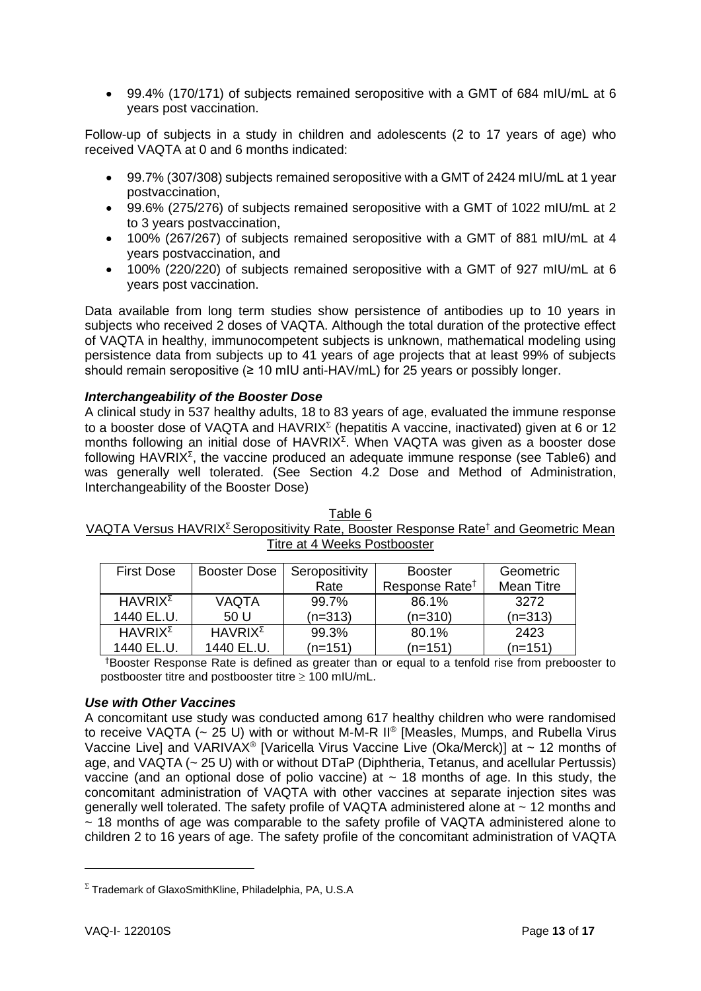• 99.4% (170/171) of subjects remained seropositive with a GMT of 684 mIU/mL at 6 years post vaccination.

Follow-up of subjects in a study in children and adolescents (2 to 17 years of age) who received VAQTA at 0 and 6 months indicated:

- 99.7% (307/308) subjects remained seropositive with a GMT of 2424 mIU/mL at 1 year postvaccination,
- 99.6% (275/276) of subjects remained seropositive with a GMT of 1022 mIU/mL at 2 to 3 years postvaccination,
- 100% (267/267) of subjects remained seropositive with a GMT of 881 mIU/mL at 4 years postvaccination, and
- 100% (220/220) of subjects remained seropositive with a GMT of 927 mIU/mL at 6 years post vaccination.

Data available from long term studies show persistence of antibodies up to 10 years in subjects who received 2 doses of VAQTA. Although the total duration of the protective effect of VAQTA in healthy, immunocompetent subjects is unknown, mathematical modeling using persistence data from subjects up to 41 years of age projects that at least 99% of subjects should remain seropositive ( $\geq 10$  mIU anti-HAV/mL) for 25 years or possibly longer.

## *Interchangeability of the Booster Dose*

A clinical study in 537 healthy adults, 18 to 83 years of age, evaluated the immune response to a booster dose of VAQTA and  $HAVRIX^{\Sigma}$  (hepatitis A vaccine, inactivated) given at 6 or 12 months following an initial dose of  $HAVRIX^{\Sigma}$ . When VAQTA was given as a booster dose following HAVRIX<sup> $\Sigma$ </sup>, the vaccine produced an adequate immune response (see Table6) and was generally well tolerated. (See Section 4.2 Dose and Method of Administration, Interchangeability of the Booster Dose)

| THE ALT INCORD LOSIDOOSIGI |                   |                               |                            |            |
|----------------------------|-------------------|-------------------------------|----------------------------|------------|
| <b>First Dose</b>          |                   | Booster Dose   Seropositivity | <b>Booster</b>             | Geometric  |
|                            |                   | Rate                          | Response Rate <sup>†</sup> | Mean Titre |
| $HAVRIX^{\Sigma}$          | <b>VAQTA</b>      | 99.7%                         | 86.1%                      | 3272       |
| 1440 EL.U.                 | 50 U              | (n=313)                       | $(n=310)$                  | $(n=313)$  |
| $HAVRIX^{\Sigma}$          | $HAVRIX^{\Sigma}$ | 99.3%                         | 80.1%                      | 2423       |

Table 6 VAQTA Versus HAVRIX<sup>Ʃ</sup> Seropositivity Rate, Booster Response Rate† and Geometric Mean Titre at 4 Weeks Postbooster

1440 EL.U.  $(n=151)$  $(n=151)$ †Booster Response Rate is defined as greater than or equal to a tenfold rise from prebooster to postbooster titre and postbooster titre  $\geq 100$  mIU/mL.

## *Use with Other Vaccines*

A concomitant use study was conducted among 617 healthy children who were randomised to receive VAQTA ( $\sim$  25 U) with or without M-M-R II® [Measles, Mumps, and Rubella Virus Vaccine Live] and VARIVAX<sup>®</sup> [Varicella Virus Vaccine Live (Oka/Merck)] at  $\sim$  12 months of age, and VAQTA (~ 25 U) with or without DTaP (Diphtheria, Tetanus, and acellular Pertussis) vaccine (and an optional dose of polio vaccine) at  $\sim$  18 months of age. In this study, the concomitant administration of VAQTA with other vaccines at separate injection sites was generally well tolerated. The safety profile of VAQTA administered alone at ~ 12 months and  $\sim$  18 months of age was comparable to the safety profile of VAQTA administered alone to children 2 to 16 years of age. The safety profile of the concomitant administration of VAQTA

1440 EL.U.

 $(n=151)$ 

 $\Sigma$  Trademark of GlaxoSmithKline, Philadelphia, PA, U.S.A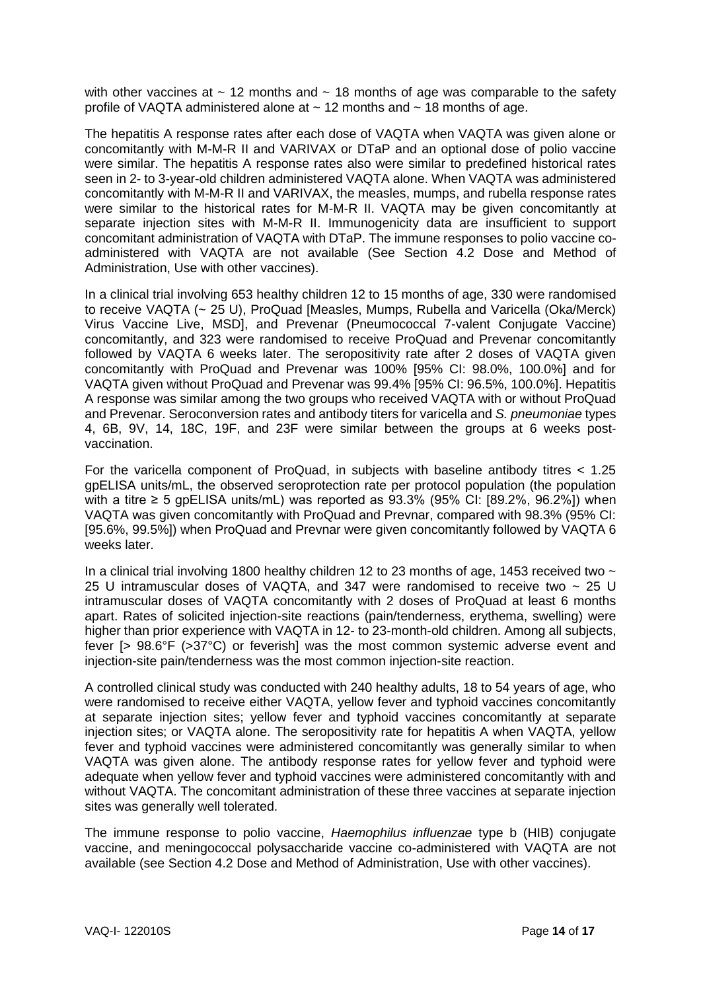with other vaccines at  $\sim$  12 months and  $\sim$  18 months of age was comparable to the safety profile of VAQTA administered alone at  $\sim$  12 months and  $\sim$  18 months of age.

The hepatitis A response rates after each dose of VAQTA when VAQTA was given alone or concomitantly with M-M-R II and VARIVAX or DTaP and an optional dose of polio vaccine were similar. The hepatitis A response rates also were similar to predefined historical rates seen in 2- to 3-year-old children administered VAQTA alone. When VAQTA was administered concomitantly with M-M-R II and VARIVAX, the measles, mumps, and rubella response rates were similar to the historical rates for M-M-R II. VAQTA may be given concomitantly at separate injection sites with M-M-R II. Immunogenicity data are insufficient to support concomitant administration of VAQTA with DTaP. The immune responses to polio vaccine coadministered with VAQTA are not available (See Section 4.2 Dose and Method of Administration, Use with other vaccines).

In a clinical trial involving 653 healthy children 12 to 15 months of age, 330 were randomised to receive VAQTA (~ 25 U), ProQuad [Measles, Mumps, Rubella and Varicella (Oka/Merck) Virus Vaccine Live, MSD], and Prevenar (Pneumococcal 7-valent Conjugate Vaccine) concomitantly, and 323 were randomised to receive ProQuad and Prevenar concomitantly followed by VAQTA 6 weeks later. The seropositivity rate after 2 doses of VAQTA given concomitantly with ProQuad and Prevenar was 100% [95% CI: 98.0%, 100.0%] and for VAQTA given without ProQuad and Prevenar was 99.4% [95% CI: 96.5%, 100.0%]. Hepatitis A response was similar among the two groups who received VAQTA with or without ProQuad and Prevenar. Seroconversion rates and antibody titers for varicella and *S. pneumoniae* types 4, 6B, 9V, 14, 18C, 19F, and 23F were similar between the groups at 6 weeks postvaccination.

For the varicella component of ProQuad, in subjects with baseline antibody titres < 1.25 gpELISA units/mL, the observed seroprotection rate per protocol population (the population with a titre  $\geq 5$  gpELISA units/mL) was reported as 93.3% (95% CI: [89.2%, 96.2%]) when VAQTA was given concomitantly with ProQuad and Prevnar, compared with 98.3% (95% CI: [95.6%, 99.5%]) when ProQuad and Prevnar were given concomitantly followed by VAQTA 6 weeks later.

In a clinical trial involving 1800 healthy children 12 to 23 months of age, 1453 received two  $\sim$ 25 U intramuscular doses of VAQTA, and 347 were randomised to receive two  $\sim$  25 U intramuscular doses of VAQTA concomitantly with 2 doses of ProQuad at least 6 months apart. Rates of solicited injection-site reactions (pain/tenderness, erythema, swelling) were higher than prior experience with VAQTA in 12- to 23-month-old children. Among all subjects, fever [> 98.6°F (>37°C) or feverish] was the most common systemic adverse event and injection-site pain/tenderness was the most common injection-site reaction.

A controlled clinical study was conducted with 240 healthy adults, 18 to 54 years of age, who were randomised to receive either VAQTA, yellow fever and typhoid vaccines concomitantly at separate injection sites; yellow fever and typhoid vaccines concomitantly at separate injection sites; or VAQTA alone. The seropositivity rate for hepatitis A when VAQTA, yellow fever and typhoid vaccines were administered concomitantly was generally similar to when VAQTA was given alone. The antibody response rates for yellow fever and typhoid were adequate when yellow fever and typhoid vaccines were administered concomitantly with and without VAQTA. The concomitant administration of these three vaccines at separate injection sites was generally well tolerated.

The immune response to polio vaccine, *Haemophilus influenzae* type b (HIB) conjugate vaccine, and meningococcal polysaccharide vaccine co-administered with VAQTA are not available (see Section 4.2 Dose and Method of Administration, Use with other vaccines).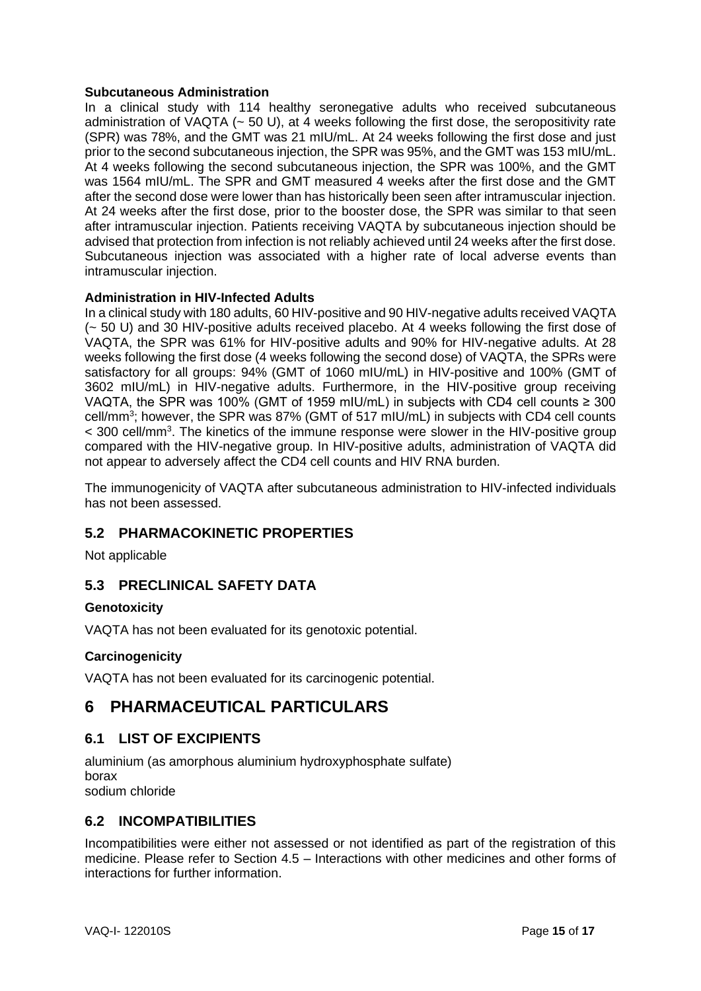## **Subcutaneous Administration**

In a clinical study with 114 healthy seronegative adults who received subcutaneous administration of VAQTA (~ 50 U), at 4 weeks following the first dose, the seropositivity rate (SPR) was 78%, and the GMT was 21 mIU/mL. At 24 weeks following the first dose and just prior to the second subcutaneous injection, the SPR was 95%, and the GMT was 153 mIU/mL. At 4 weeks following the second subcutaneous injection, the SPR was 100%, and the GMT was 1564 mIU/mL. The SPR and GMT measured 4 weeks after the first dose and the GMT after the second dose were lower than has historically been seen after intramuscular injection. At 24 weeks after the first dose, prior to the booster dose, the SPR was similar to that seen after intramuscular injection. Patients receiving VAQTA by subcutaneous injection should be advised that protection from infection is not reliably achieved until 24 weeks after the first dose. Subcutaneous injection was associated with a higher rate of local adverse events than intramuscular injection.

## **Administration in HIV-Infected Adults**

In a clinical study with 180 adults, 60 HIV-positive and 90 HIV-negative adults received VAQTA (~ 50 U) and 30 HIV-positive adults received placebo. At 4 weeks following the first dose of VAQTA, the SPR was 61% for HIV-positive adults and 90% for HIV-negative adults. At 28 weeks following the first dose (4 weeks following the second dose) of VAQTA, the SPRs were satisfactory for all groups: 94% (GMT of 1060 mIU/mL) in HIV-positive and 100% (GMT of 3602 mIU/mL) in HIV-negative adults. Furthermore, in the HIV-positive group receiving VAQTA, the SPR was 100% (GMT of 1959 mIU/mL) in subjects with CD4 cell counts  $\geq 300$ cell/mm<sup>3</sup>; however, the SPR was 87% (GMT of 517 mIU/mL) in subjects with CD4 cell counts < 300 cell/mm<sup>3</sup>. The kinetics of the immune response were slower in the HIV-positive group compared with the HIV-negative group. In HIV-positive adults, administration of VAQTA did not appear to adversely affect the CD4 cell counts and HIV RNA burden.

The immunogenicity of VAQTA after subcutaneous administration to HIV-infected individuals has not been assessed.

# **5.2 PHARMACOKINETIC PROPERTIES**

Not applicable

# **5.3 PRECLINICAL SAFETY DATA**

## **Genotoxicity**

VAQTA has not been evaluated for its genotoxic potential.

# **Carcinogenicity**

VAQTA has not been evaluated for its carcinogenic potential.

# **6 PHARMACEUTICAL PARTICULARS**

# **6.1 LIST OF EXCIPIENTS**

aluminium (as amorphous aluminium hydroxyphosphate sulfate) borax sodium chloride

# **6.2 INCOMPATIBILITIES**

Incompatibilities were either not assessed or not identified as part of the registration of this medicine. Please refer to Section 4.5 – Interactions with other medicines and other forms of interactions for further information.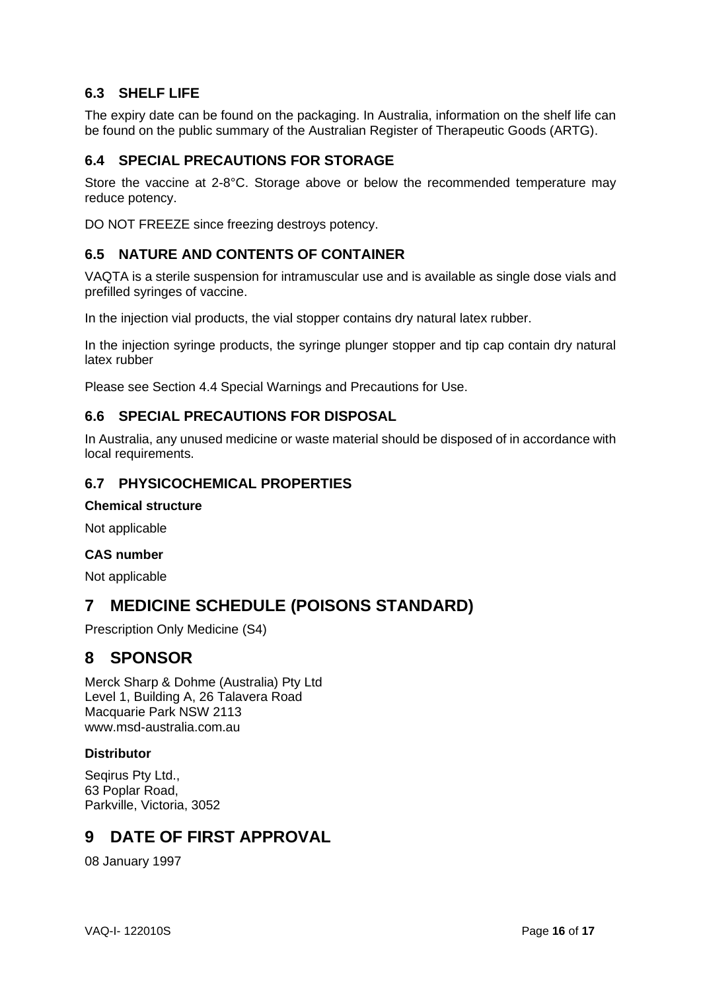# **6.3 SHELF LIFE**

The expiry date can be found on the packaging. In Australia, information on the shelf life can be found on the public summary of the Australian Register of Therapeutic Goods (ARTG).

# **6.4 SPECIAL PRECAUTIONS FOR STORAGE**

Store the vaccine at 2-8°C. Storage above or below the recommended temperature may reduce potency.

DO NOT FREEZE since freezing destroys potency.

# **6.5 NATURE AND CONTENTS OF CONTAINER**

VAQTA is a sterile suspension for intramuscular use and is available as single dose vials and prefilled syringes of vaccine.

In the injection vial products, the vial stopper contains dry natural latex rubber.

In the injection syringe products, the syringe plunger stopper and tip cap contain dry natural latex rubber

Please see Section 4.4 Special Warnings and Precautions for Use.

## **6.6 SPECIAL PRECAUTIONS FOR DISPOSAL**

In Australia, any unused medicine or waste material should be disposed of in accordance with local requirements.

# **6.7 PHYSICOCHEMICAL PROPERTIES**

#### **Chemical structure**

Not applicable

## **CAS number**

Not applicable

# **7 MEDICINE SCHEDULE (POISONS STANDARD)**

Prescription Only Medicine (S4)

# **8 SPONSOR**

Merck Sharp & Dohme (Australia) Pty Ltd Level 1, Building A, 26 Talavera Road Macquarie Park NSW 2113 [www.msd-australia.com.au](http://www.msd-australia.com.au/)

## **Distributor**

Seqirus Pty Ltd., 63 Poplar Road, Parkville, Victoria, 3052

# **9 DATE OF FIRST APPROVAL**

08 January 1997